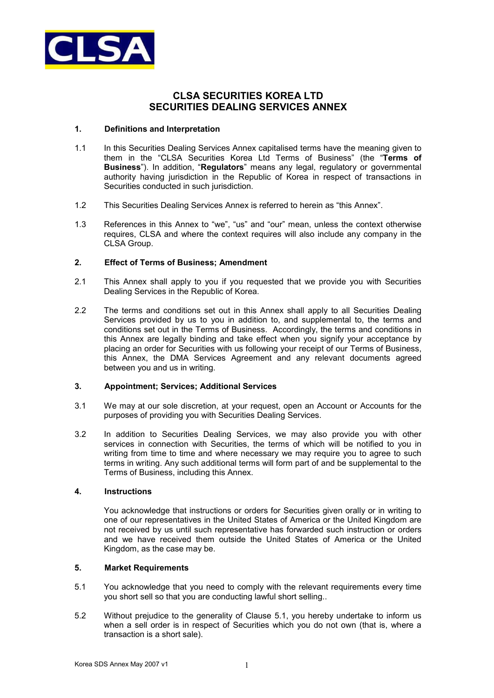

# **CLSA SECURITIES KOREA LTD SECURITIES DEALING SERVICES ANNEX**

#### **1. Definitions and Interpretation**

- 1.1 In this Securities Dealing Services Annex capitalised terms have the meaning given to them in the "CLSA Securities Korea Ltd Terms of Business" (the "**Terms of Business**"). In addition, "**Regulators**" means any legal, regulatory or governmental authority having jurisdiction in the Republic of Korea in respect of transactions in Securities conducted in such jurisdiction.
- 1.2 This Securities Dealing Services Annex is referred to herein as "this Annex".
- 1.3 References in this Annex to "we", "us" and "our" mean, unless the context otherwise requires, CLSA and where the context requires will also include any company in the CLSA Group.

# **2. Effect of Terms of Business; Amendment**

- 2.1 This Annex shall apply to you if you requested that we provide you with Securities Dealing Services in the Republic of Korea.
- 2.2 The terms and conditions set out in this Annex shall apply to all Securities Dealing Services provided by us to you in addition to, and supplemental to, the terms and conditions set out in the Terms of Business. Accordingly, the terms and conditions in this Annex are legally binding and take effect when you signify your acceptance by placing an order for Securities with us following your receipt of our Terms of Business, this Annex, the DMA Services Agreement and any relevant documents agreed between you and us in writing.

# **3. Appointment; Services; Additional Services**

- 3.1 We may at our sole discretion, at your request, open an Account or Accounts for the purposes of providing you with Securities Dealing Services.
- 3.2 In addition to Securities Dealing Services, we may also provide you with other services in connection with Securities, the terms of which will be notified to you in writing from time to time and where necessary we may require you to agree to such terms in writing. Any such additional terms will form part of and be supplemental to the Terms of Business, including this Annex.

#### **4. Instructions**

You acknowledge that instructions or orders for Securities given orally or in writing to one of our representatives in the United States of America or the United Kingdom are not received by us until such representative has forwarded such instruction or orders and we have received them outside the United States of America or the United Kingdom, as the case may be.

# **5. Market Requirements**

- 5.1 You acknowledge that you need to comply with the relevant requirements every time you short sell so that you are conducting lawful short selling..
- 5.2 Without prejudice to the generality of Clause 5.1, you hereby undertake to inform us when a sell order is in respect of Securities which you do not own (that is, where a transaction is a short sale).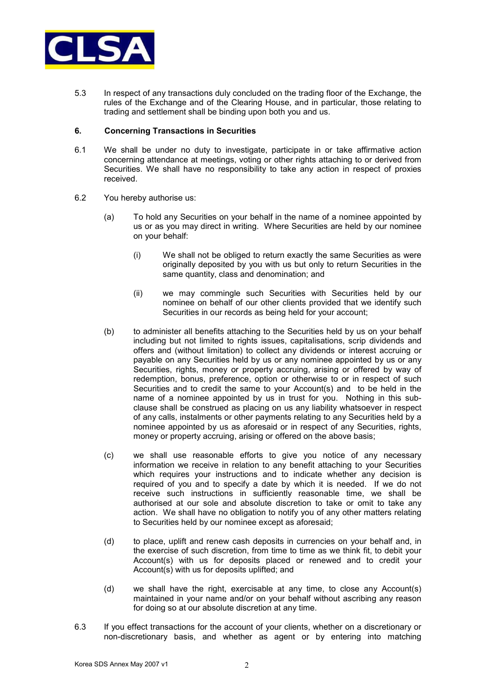

5.3 In respect of any transactions duly concluded on the trading floor of the Exchange, the rules of the Exchange and of the Clearing House, and in particular, those relating to trading and settlement shall be binding upon both you and us.

#### **6. Concerning Transactions in Securities**

- 6.1 We shall be under no duty to investigate, participate in or take affirmative action concerning attendance at meetings, voting or other rights attaching to or derived from Securities. We shall have no responsibility to take any action in respect of proxies received.
- 6.2 You hereby authorise us:
	- (a) To hold any Securities on your behalf in the name of a nominee appointed by us or as you may direct in writing. Where Securities are held by our nominee on your behalf:
		- (i) We shall not be obliged to return exactly the same Securities as were originally deposited by you with us but only to return Securities in the same quantity, class and denomination; and
		- (ii) we may commingle such Securities with Securities held by our nominee on behalf of our other clients provided that we identify such Securities in our records as being held for your account;
	- (b) to administer all benefits attaching to the Securities held by us on your behalf including but not limited to rights issues, capitalisations, scrip dividends and offers and (without limitation) to collect any dividends or interest accruing or payable on any Securities held by us or any nominee appointed by us or any Securities, rights, money or property accruing, arising or offered by way of redemption, bonus, preference, option or otherwise to or in respect of such Securities and to credit the same to your Account(s) and to be held in the name of a nominee appointed by us in trust for you. Nothing in this subclause shall be construed as placing on us any liability whatsoever in respect of any calls, instalments or other payments relating to any Securities held by a nominee appointed by us as aforesaid or in respect of any Securities, rights, money or property accruing, arising or offered on the above basis;
	- (c) we shall use reasonable efforts to give you notice of any necessary information we receive in relation to any benefit attaching to your Securities which requires your instructions and to indicate whether any decision is required of you and to specify a date by which it is needed. If we do not receive such instructions in sufficiently reasonable time, we shall be authorised at our sole and absolute discretion to take or omit to take any action. We shall have no obligation to notify you of any other matters relating to Securities held by our nominee except as aforesaid;
	- (d) to place, uplift and renew cash deposits in currencies on your behalf and, in the exercise of such discretion, from time to time as we think fit, to debit your Account(s) with us for deposits placed or renewed and to credit your Account(s) with us for deposits uplifted; and
	- (d) we shall have the right, exercisable at any time, to close any Account(s) maintained in your name and/or on your behalf without ascribing any reason for doing so at our absolute discretion at any time.
- 6.3 If you effect transactions for the account of your clients, whether on a discretionary or non-discretionary basis, and whether as agent or by entering into matching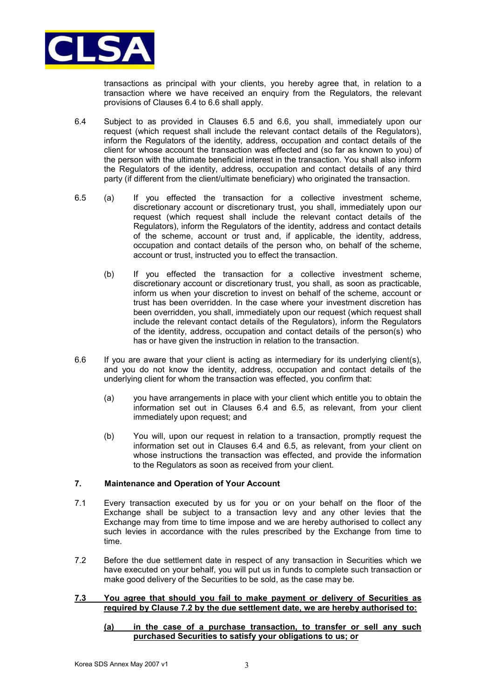

transactions as principal with your clients, you hereby agree that, in relation to a transaction where we have received an enquiry from the Regulators, the relevant provisions of Clauses 6.4 to 6.6 shall apply.

- 6.4 Subject to as provided in Clauses 6.5 and 6.6, you shall, immediately upon our request (which request shall include the relevant contact details of the Regulators), inform the Regulators of the identity, address, occupation and contact details of the client for whose account the transaction was effected and (so far as known to you) of the person with the ultimate beneficial interest in the transaction. You shall also inform the Regulators of the identity, address, occupation and contact details of any third party (if different from the client/ultimate beneficiary) who originated the transaction.
- 6.5 (a) If you effected the transaction for a collective investment scheme, discretionary account or discretionary trust, you shall, immediately upon our request (which request shall include the relevant contact details of the Regulators), inform the Regulators of the identity, address and contact details of the scheme, account or trust and, if applicable, the identity, address, occupation and contact details of the person who, on behalf of the scheme, account or trust, instructed you to effect the transaction.
	- (b) If you effected the transaction for a collective investment scheme, discretionary account or discretionary trust, you shall, as soon as practicable, inform us when your discretion to invest on behalf of the scheme, account or trust has been overridden. In the case where your investment discretion has been overridden, you shall, immediately upon our request (which request shall include the relevant contact details of the Regulators), inform the Regulators of the identity, address, occupation and contact details of the person(s) who has or have given the instruction in relation to the transaction.
- 6.6 If you are aware that your client is acting as intermediary for its underlying client(s), and you do not know the identity, address, occupation and contact details of the underlying client for whom the transaction was effected, you confirm that:
	- (a) you have arrangements in place with your client which entitle you to obtain the information set out in Clauses 6.4 and 6.5, as relevant, from your client immediately upon request; and
	- (b) You will, upon our request in relation to a transaction, promptly request the information set out in Clauses 6.4 and 6.5, as relevant, from your client on whose instructions the transaction was effected, and provide the information to the Regulators as soon as received from your client.

# **7. Maintenance and Operation of Your Account**

- 7.1 Every transaction executed by us for you or on your behalf on the floor of the Exchange shall be subject to a transaction levy and any other levies that the Exchange may from time to time impose and we are hereby authorised to collect any such levies in accordance with the rules prescribed by the Exchange from time to time.
- 7.2 Before the due settlement date in respect of any transaction in Securities which we have executed on your behalf, you will put us in funds to complete such transaction or make good delivery of the Securities to be sold, as the case may be.

#### **7.3 You agree that should you fail to make payment or delivery of Securities as required by Clause 7.2 by the due settlement date, we are hereby authorised to:**

#### **(a) in the case of a purchase transaction, to transfer or sell any such purchased Securities to satisfy your obligations to us; or**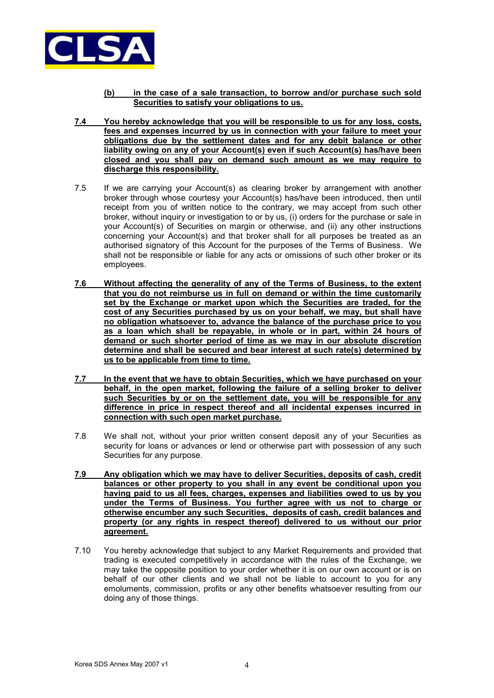

- **(b) in the case of a sale transaction, to borrow and/or purchase such sold Securities to satisfy your obligations to us.**
- **7.4 You hereby acknowledge that you will be responsible to us for any loss, costs, fees and expenses incurred by us in connection with your failure to meet your obligations due by the settlement dates and for any debit balance or other liability owing on any of your Account(s) even if such Account(s) has/have been closed and you shall pay on demand such amount as we may require to discharge this responsibility.**
- 7.5 If we are carrying your Account(s) as clearing broker by arrangement with another broker through whose courtesy your Account(s) has/have been introduced, then until receipt from you of written notice to the contrary, we may accept from such other broker, without inquiry or investigation to or by us, (i) orders for the purchase or sale in your Account(s) of Securities on margin or otherwise, and (ii) any other instructions concerning your Account(s) and that broker shall for all purposes be treated as an authorised signatory of this Account for the purposes of the Terms of Business. We shall not be responsible or liable for any acts or omissions of such other broker or its employees.
- **7.6 Without affecting the generality of any of the Terms of Business, to the extent that you do not reimburse us in full on demand or within the time customarily set by the Exchange or market upon which the Securities are traded, for the cost of any Securities purchased by us on your behalf, we may, but shall have no obligation whatsoever to, advance the balance of the purchase price to you as a loan which shall be repayable, in whole or in part, within 24 hours of demand or such shorter period of time as we may in our absolute discretion determine and shall be secured and bear interest at such rate(s) determined by us to be applicable from time to time.**
- **7.7 In the event that we have to obtain Securities, which we have purchased on your behalf, in the open market, following the failure of a selling broker to deliver such Securities by or on the settlement date, you will be responsible for any difference in price in respect thereof and all incidental expenses incurred in connection with such open market purchase.**
- 7.8 We shall not, without your prior written consent deposit any of your Securities as security for loans or advances or lend or otherwise part with possession of any such Securities for any purpose.
- **7.9 Any obligation which we may have to deliver Securities, deposits of cash, credit balances or other property to you shall in any event be conditional upon you having paid to us all fees, charges, expenses and liabilities owed to us by you under the Terms of Business. You further agree with us not to charge or otherwise encumber any such Securities, deposits of cash, credit balances and property (or any rights in respect thereof) delivered to us without our prior agreement.**
- 7.10 You hereby acknowledge that subject to any Market Requirements and provided that trading is executed competitively in accordance with the rules of the Exchange, we may take the opposite position to your order whether it is on our own account or is on behalf of our other clients and we shall not be liable to account to you for any emoluments, commission, profits or any other benefits whatsoever resulting from our doing any of those things.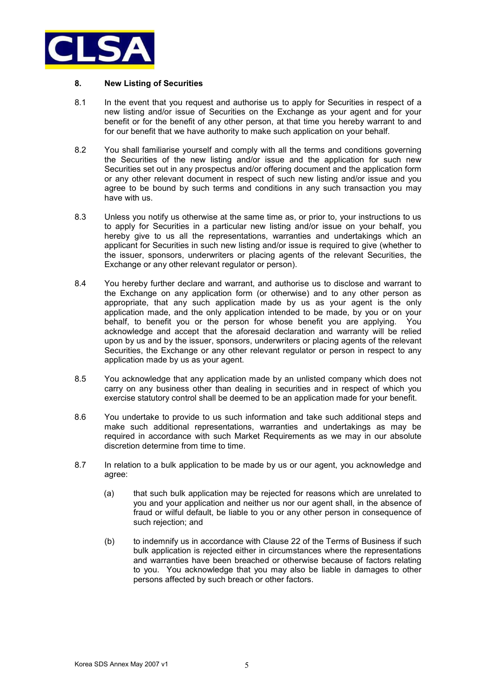

# **8. New Listing of Securities**

- 8.1 In the event that you request and authorise us to apply for Securities in respect of a new listing and/or issue of Securities on the Exchange as your agent and for your benefit or for the benefit of any other person, at that time you hereby warrant to and for our benefit that we have authority to make such application on your behalf.
- 8.2 You shall familiarise yourself and comply with all the terms and conditions governing the Securities of the new listing and/or issue and the application for such new Securities set out in any prospectus and/or offering document and the application form or any other relevant document in respect of such new listing and/or issue and you agree to be bound by such terms and conditions in any such transaction you may have with us.
- 8.3 Unless you notify us otherwise at the same time as, or prior to, your instructions to us to apply for Securities in a particular new listing and/or issue on your behalf, you hereby give to us all the representations, warranties and undertakings which an applicant for Securities in such new listing and/or issue is required to give (whether to the issuer, sponsors, underwriters or placing agents of the relevant Securities, the Exchange or any other relevant regulator or person).
- 8.4 You hereby further declare and warrant, and authorise us to disclose and warrant to the Exchange on any application form (or otherwise) and to any other person as appropriate, that any such application made by us as your agent is the only application made, and the only application intended to be made, by you or on your behalf, to benefit you or the person for whose benefit you are applying. You acknowledge and accept that the aforesaid declaration and warranty will be relied upon by us and by the issuer, sponsors, underwriters or placing agents of the relevant Securities, the Exchange or any other relevant regulator or person in respect to any application made by us as your agent.
- 8.5 You acknowledge that any application made by an unlisted company which does not carry on any business other than dealing in securities and in respect of which you exercise statutory control shall be deemed to be an application made for your benefit.
- 8.6 You undertake to provide to us such information and take such additional steps and make such additional representations, warranties and undertakings as may be required in accordance with such Market Requirements as we may in our absolute discretion determine from time to time.
- 8.7 In relation to a bulk application to be made by us or our agent, you acknowledge and agree:
	- (a) that such bulk application may be rejected for reasons which are unrelated to you and your application and neither us nor our agent shall, in the absence of fraud or wilful default, be liable to you or any other person in consequence of such rejection; and
	- (b) to indemnify us in accordance with Clause 22 of the Terms of Business if such bulk application is rejected either in circumstances where the representations and warranties have been breached or otherwise because of factors relating to you. You acknowledge that you may also be liable in damages to other persons affected by such breach or other factors.